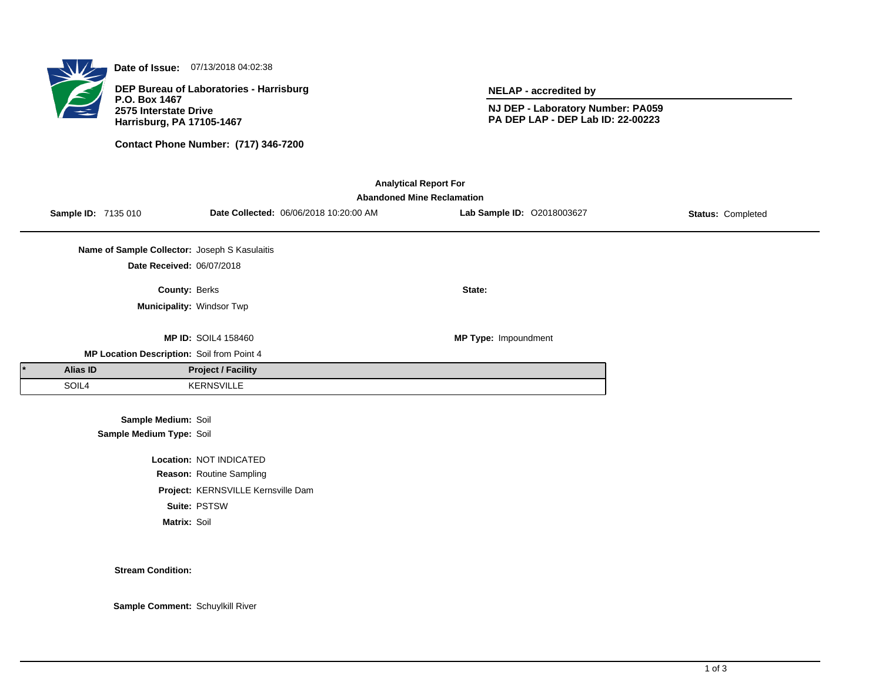

**Date of Issue:** 07/13/2018 04:02:38

**DEP Bureau of Laboratories - Harrisburg P.O. Box 1467 2575 Interstate Drive Harrisburg, PA 17105-1467**

**Contact Phone Number: (717) 346-7200**

**NELAP - accredited by**

**NJ DEP - Laboratory Number: PA059 PA DEP LAP - DEP Lab ID: 22-00223**

| <b>Analytical Report For</b><br><b>Abandoned Mine Reclamation</b> |                            |                                               |                                    |                                        |                            |                          |  |  |  |
|-------------------------------------------------------------------|----------------------------|-----------------------------------------------|------------------------------------|----------------------------------------|----------------------------|--------------------------|--|--|--|
|                                                                   | <b>Sample ID: 7135 010</b> |                                               |                                    | Date Collected: 06/06/2018 10:20:00 AM | Lab Sample ID: 02018003627 | <b>Status: Completed</b> |  |  |  |
|                                                                   |                            | Name of Sample Collector: Joseph S Kasulaitis |                                    |                                        |                            |                          |  |  |  |
|                                                                   |                            | Date Received: 06/07/2018                     |                                    |                                        |                            |                          |  |  |  |
|                                                                   |                            | County: Berks                                 |                                    |                                        | State:                     |                          |  |  |  |
|                                                                   |                            | Municipality: Windsor Twp                     |                                    |                                        |                            |                          |  |  |  |
|                                                                   |                            |                                               | <b>MP ID: SOIL4 158460</b>         |                                        | MP Type: Impoundment       |                          |  |  |  |
|                                                                   |                            | MP Location Description: Soil from Point 4    |                                    |                                        |                            |                          |  |  |  |
|                                                                   | <b>Alias ID</b>            |                                               | <b>Project / Facility</b>          |                                        |                            |                          |  |  |  |
|                                                                   | SOIL4                      |                                               | <b>KERNSVILLE</b>                  |                                        |                            |                          |  |  |  |
|                                                                   |                            | Sample Medium: Soil                           |                                    |                                        |                            |                          |  |  |  |
|                                                                   |                            | Sample Medium Type: Soil                      |                                    |                                        |                            |                          |  |  |  |
|                                                                   |                            |                                               | Location: NOT INDICATED            |                                        |                            |                          |  |  |  |
|                                                                   |                            |                                               | Reason: Routine Sampling           |                                        |                            |                          |  |  |  |
|                                                                   |                            |                                               | Project: KERNSVILLE Kernsville Dam |                                        |                            |                          |  |  |  |

**Suite:** PSTSW

**Matrix:** Soil

**Stream Condition:**

**Sample Comment:** Schuylkill River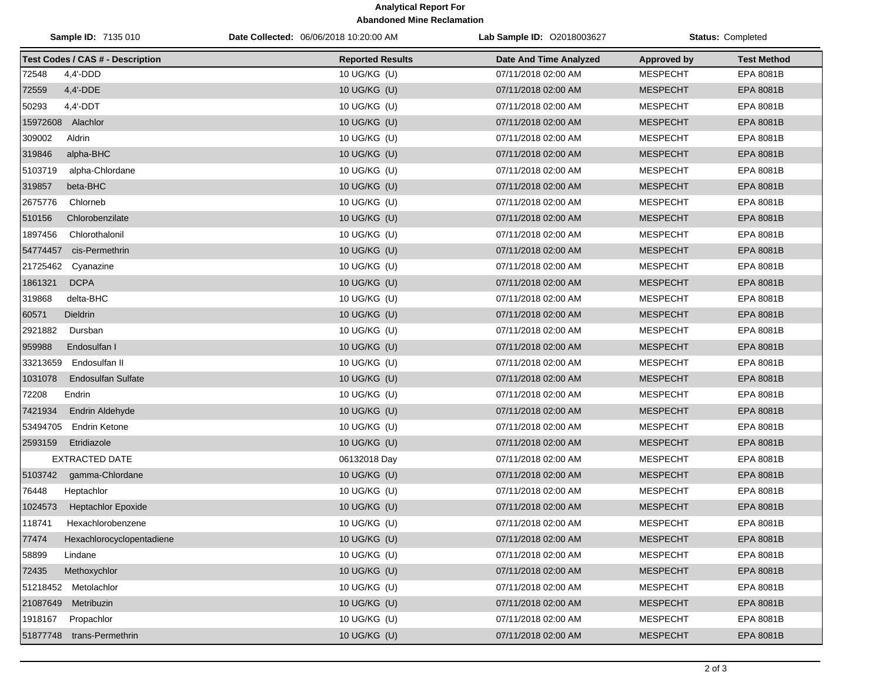## **Analytical Report For Abandoned Mine Reclamation**

| Sample ID: 7135 010 |                                         | Date Collected: 06/06/2018 10:20:00 AM | Lab Sample ID: 02018003627 | <b>Status: Completed</b> |                    |
|---------------------|-----------------------------------------|----------------------------------------|----------------------------|--------------------------|--------------------|
|                     | <b>Test Codes / CAS # - Description</b> | <b>Reported Results</b>                | Date And Time Analyzed     | <b>Approved by</b>       | <b>Test Method</b> |
| 72548               | $4,4'$ -DDD                             | 10 UG/KG (U)                           | 07/11/2018 02:00 AM        | <b>MESPECHT</b>          | EPA 8081B          |
| 72559               | 4,4'-DDE                                | 10 UG/KG (U)                           | 07/11/2018 02:00 AM        | <b>MESPECHT</b>          | EPA 8081B          |
| 50293               | $4.4'$ -DDT                             | 10 UG/KG (U)                           | 07/11/2018 02:00 AM        | <b>MESPECHT</b>          | EPA 8081B          |
| 15972608 Alachlor   |                                         | 10 UG/KG (U)                           | 07/11/2018 02:00 AM        | <b>MESPECHT</b>          | EPA 8081B          |
| 309002              | Aldrin                                  | 10 UG/KG (U)                           | 07/11/2018 02:00 AM        | <b>MESPECHT</b>          | EPA 8081B          |
| 319846              | alpha-BHC                               | 10 UG/KG (U)                           | 07/11/2018 02:00 AM        | <b>MESPECHT</b>          | EPA 8081B          |
| 5103719             | alpha-Chlordane                         | 10 UG/KG (U)                           | 07/11/2018 02:00 AM        | <b>MESPECHT</b>          | EPA 8081B          |
| 319857              | beta-BHC                                | 10 UG/KG (U)                           | 07/11/2018 02:00 AM        | <b>MESPECHT</b>          | EPA 8081B          |
| 2675776             | Chlorneb                                | 10 UG/KG (U)                           | 07/11/2018 02:00 AM        | <b>MESPECHT</b>          | EPA 8081B          |
| 510156              | Chlorobenzilate                         | 10 UG/KG (U)                           | 07/11/2018 02:00 AM        | <b>MESPECHT</b>          | EPA 8081B          |
| 1897456             | Chlorothalonil                          | 10 UG/KG (U)                           | 07/11/2018 02:00 AM        | <b>MESPECHT</b>          | EPA 8081B          |
| 54774457            | cis-Permethrin                          | 10 UG/KG (U)                           | 07/11/2018 02:00 AM        | <b>MESPECHT</b>          | EPA 8081B          |
| 21725462            | Cyanazine                               | 10 UG/KG (U)                           | 07/11/2018 02:00 AM        | <b>MESPECHT</b>          | EPA 8081B          |
| 1861321             | <b>DCPA</b>                             | 10 UG/KG (U)                           | 07/11/2018 02:00 AM        | <b>MESPECHT</b>          | EPA 8081B          |
| 319868              | delta-BHC                               | 10 UG/KG (U)                           | 07/11/2018 02:00 AM        | <b>MESPECHT</b>          | EPA 8081B          |
| 60571               | <b>Dieldrin</b>                         | 10 UG/KG (U)                           | 07/11/2018 02:00 AM        | <b>MESPECHT</b>          | EPA 8081B          |
| 2921882             | Dursban                                 | 10 UG/KG (U)                           | 07/11/2018 02:00 AM        | <b>MESPECHT</b>          | EPA 8081B          |
| 959988              | Endosulfan I                            | 10 UG/KG (U)                           | 07/11/2018 02:00 AM        | <b>MESPECHT</b>          | EPA 8081B          |
| 33213659            | Endosulfan II                           | 10 UG/KG (U)                           | 07/11/2018 02:00 AM        | <b>MESPECHT</b>          | EPA 8081B          |
| 1031078             | <b>Endosulfan Sulfate</b>               | 10 UG/KG (U)                           | 07/11/2018 02:00 AM        | <b>MESPECHT</b>          | EPA 8081B          |
| 72208               | Endrin                                  | 10 UG/KG (U)                           | 07/11/2018 02:00 AM        | <b>MESPECHT</b>          | EPA 8081B          |
| 7421934             | Endrin Aldehyde                         | 10 UG/KG (U)                           | 07/11/2018 02:00 AM        | <b>MESPECHT</b>          | EPA 8081B          |
| 53494705            | <b>Endrin Ketone</b>                    | 10 UG/KG (U)                           | 07/11/2018 02:00 AM        | <b>MESPECHT</b>          | EPA 8081B          |
| 2593159             | Etridiazole                             | 10 UG/KG (U)                           | 07/11/2018 02:00 AM        | <b>MESPECHT</b>          | EPA 8081B          |
|                     | <b>EXTRACTED DATE</b>                   | 06132018 Day                           | 07/11/2018 02:00 AM        | <b>MESPECHT</b>          | EPA 8081B          |
| 5103742             | gamma-Chlordane                         | 10 UG/KG (U)                           | 07/11/2018 02:00 AM        | <b>MESPECHT</b>          | EPA 8081B          |
| 76448               | Heptachlor                              | 10 UG/KG (U)                           | 07/11/2018 02:00 AM        | <b>MESPECHT</b>          | EPA 8081B          |
| 1024573             | <b>Heptachlor Epoxide</b>               | 10 UG/KG (U)                           | 07/11/2018 02:00 AM        | <b>MESPECHT</b>          | EPA 8081B          |
| 118741              | Hexachlorobenzene                       | 10 UG/KG (U)                           | 07/11/2018 02:00 AM        | <b>MESPECHT</b>          | EPA 8081B          |
| 77474               | Hexachlorocyclopentadiene               | 10 UG/KG (U)                           | 07/11/2018 02:00 AM        | <b>MESPECHT</b>          | EPA 8081B          |
| 58899               | Lindane                                 | 10 UG/KG (U)                           | 07/11/2018 02:00 AM        | <b>MESPECHT</b>          | EPA 8081B          |
| 72435               | Methoxychlor                            | 10 UG/KG (U)                           | 07/11/2018 02:00 AM        | <b>MESPECHT</b>          | EPA 8081B          |
|                     | 51218452 Metolachlor                    | 10 UG/KG (U)                           | 07/11/2018 02:00 AM        | <b>MESPECHT</b>          | EPA 8081B          |
| 21087649            | Metribuzin                              | 10 UG/KG (U)                           | 07/11/2018 02:00 AM        | <b>MESPECHT</b>          | EPA 8081B          |
| 1918167             | Propachlor                              | 10 UG/KG (U)                           | 07/11/2018 02:00 AM        | <b>MESPECHT</b>          | EPA 8081B          |
|                     | 51877748 trans-Permethrin               | 10 UG/KG (U)                           | 07/11/2018 02:00 AM        | <b>MESPECHT</b>          | EPA 8081B          |